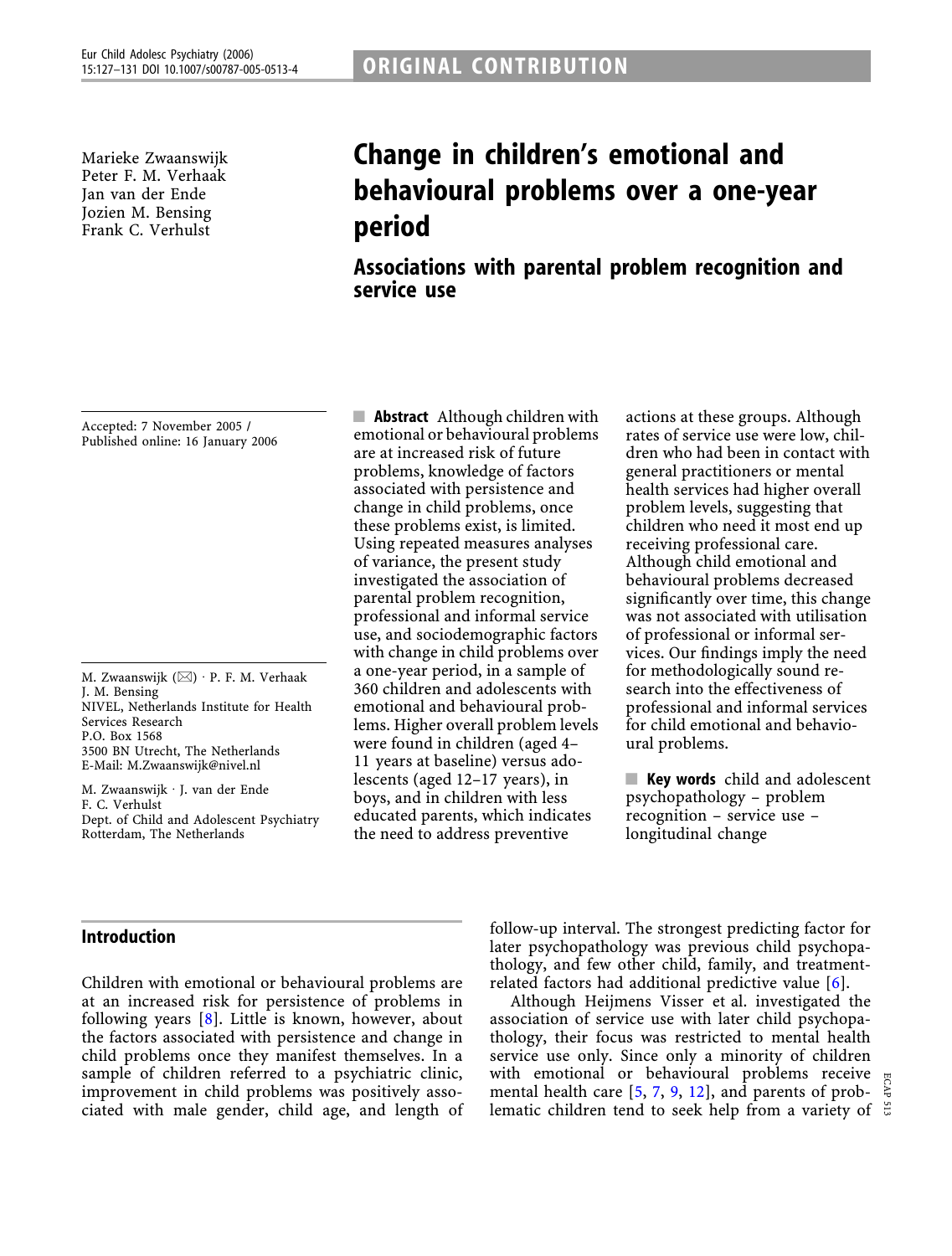Marieke Zwaanswijk Peter F. M. Verhaak Jan van der Ende Jozien M. Bensing Frank C. Verhulst

# Change in children's emotional and behavioural problems over a one-year period

Associations with parental problem recognition and service use

Accepted: 7 November 2005 / Published online: 16 January 2006

M. Zwaanswijk  $(\boxtimes) \cdot$  P. F. M. Verhaak J. M. Bensing NIVEL, Netherlands Institute for Health Services Research P.O. Box 1568 3500 BN Utrecht, The Netherlands E-Mail: M.Zwaanswijk@nivel.nl

M. Zwaanswijk · J. van der Ende F. C. Verhulst Dept. of Child and Adolescent Psychiatry Rotterdam, The Netherlands

 $\blacksquare$  Abstract Although children with emotional or behavioural problems are at increased risk of future problems, knowledge of factors associated with persistence and change in child problems, once these problems exist, is limited. Using repeated measures analyses of variance, the present study investigated the association of parental problem recognition, professional and informal service use, and sociodemographic factors with change in child problems over a one-year period, in a sample of 360 children and adolescents with emotional and behavioural problems. Higher overall problem levels were found in children (aged 4– 11 years at baseline) versus adolescents (aged 12–17 years), in boys, and in children with less educated parents, which indicates the need to address preventive

actions at these groups. Although rates of service use were low, children who had been in contact with general practitioners or mental health services had higher overall problem levels, suggesting that children who need it most end up receiving professional care. Although child emotional and behavioural problems decreased significantly over time, this change was not associated with utilisation of professional or informal services. Our findings imply the need for methodologically sound research into the effectiveness of professional and informal services for child emotional and behavioural problems.

 $\blacksquare$  Key words child and adolescent psychopathology – problem recognition – service use – longitudinal change

## Introduction

Children with emotional or behavioural problems are at an increased risk for persistence of problems in following years [[8\]](#page-4-0). Little is known, however, about the factors associated with persistence and change in child problems once they manifest themselves. In a sample of children referred to a psychiatric clinic, improvement in child problems was positively associated with male gender, child age, and length of follow-up interval. The strongest predicting factor for later psychopathology was previous child psychopathology, and few other child, family, and treatmentrelated factors had additional predictive value [[6\]](#page-4-0).

Although Heijmens Visser et al. investigated the association of service use with later child psychopathology, their focus was restricted to mental health service use only. Since only a minority of children with emotional or behavioural problems receive  $\frac{1}{\sqrt{2}}$ <br>mental health care [5, 7, 9, 12], and parents of probmental health care [[5,](#page-4-0) [7,](#page-4-0) [9](#page-4-0), [12\]](#page-4-0), and parents of problematic children tend to seek help from a variety of  $\; \stackrel{\scriptscriptstyle \omega}{\scriptscriptstyle \omega}$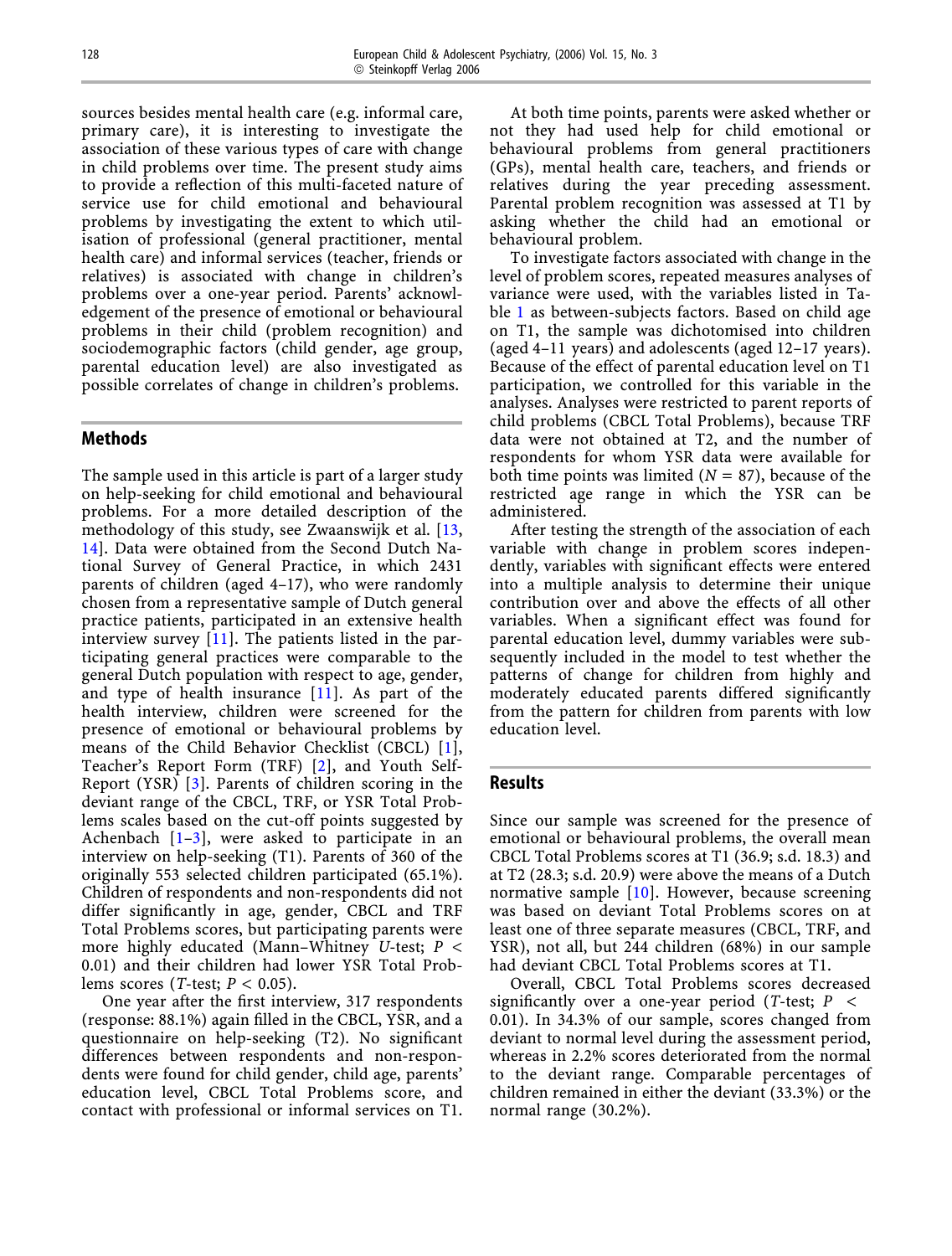sources besides mental health care (e.g. informal care, primary care), it is interesting to investigate the association of these various types of care with change in child problems over time. The present study aims to provide a reflection of this multi-faceted nature of service use for child emotional and behavioural problems by investigating the extent to which utilisation of professional (general practitioner, mental health care) and informal services (teacher, friends or relatives) is associated with change in children's problems over a one-year period. Parents' acknowledgement of the presence of emotional or behavioural problems in their child (problem recognition) and sociodemographic factors (child gender, age group, parental education level) are also investigated as possible correlates of change in children's problems.

#### Methods

The sample used in this article is part of a larger study on help-seeking for child emotional and behavioural problems. For a more detailed description of the methodology of this study, see Zwaanswijk et al. [\[13,](#page-4-0) [14](#page-4-0)]. Data were obtained from the Second Dutch National Survey of General Practice, in which 2431 parents of children (aged 4–17), who were randomly chosen from a representative sample of Dutch general practice patients, participated in an extensive health interview survey  $[11]$ . The patients listed in the participating general practices were comparable to the general Dutch population with respect to age, gender, and type of health insurance [[11\]](#page-4-0). As part of the health interview, children were screened for the presence of emotional or behavioural problems by means of the Child Behavior Checklist (CBCL) [[1\]](#page-3-0), Teacher's Report Form (TRF) [[2\]](#page-3-0), and Youth Self-Report (YSR) [[3\]](#page-3-0). Parents of children scoring in the deviant range of the CBCL, TRF, or YSR Total Problems scales based on the cut-off points suggested by Achenbach  $[1-3]$ , were asked to participate in an interview on help-seeking (T1). Parents of 360 of the originally 553 selected children participated (65.1%). Children of respondents and non-respondents did not differ significantly in age, gender, CBCL and TRF Total Problems scores, but participating parents were more highly educated (Mann–Whitney U-test;  $P \leq$ 0.01) and their children had lower YSR Total Problems scores (*T*-test;  $P < 0.05$ ).

One year after the first interview, 317 respondents (response: 88.1%) again filled in the CBCL, YSR, and a questionnaire on help-seeking (T2). No significant differences between respondents and non-respondents were found for child gender, child age, parents' education level, CBCL Total Problems score, and contact with professional or informal services on T1.

At both time points, parents were asked whether or not they had used help for child emotional or behavioural problems from general practitioners (GPs), mental health care, teachers, and friends or relatives during the year preceding assessment. Parental problem recognition was assessed at T1 by asking whether the child had an emotional or behavioural problem.

To investigate factors associated with change in the level of problem scores, repeated measures analyses of variance were used, with the variables listed in Table [1](#page-2-0) as between-subjects factors. Based on child age on T1, the sample was dichotomised into children (aged 4–11 years) and adolescents (aged 12–17 years). Because of the effect of parental education level on T1 participation, we controlled for this variable in the analyses. Analyses were restricted to parent reports of child problems (CBCL Total Problems), because TRF data were not obtained at T2, and the number of respondents for whom YSR data were available for both time points was limited  $(N = 87)$ , because of the restricted age range in which the YSR can be administered.

After testing the strength of the association of each variable with change in problem scores independently, variables with significant effects were entered into a multiple analysis to determine their unique contribution over and above the effects of all other variables. When a significant effect was found for parental education level, dummy variables were subsequently included in the model to test whether the patterns of change for children from highly and moderately educated parents differed significantly from the pattern for children from parents with low education level.

#### Results

Since our sample was screened for the presence of emotional or behavioural problems, the overall mean CBCL Total Problems scores at T1 (36.9; s.d. 18.3) and at T2 (28.3; s.d. 20.9) were above the means of a Dutch normative sample [\[10\]](#page-4-0). However, because screening was based on deviant Total Problems scores on at least one of three separate measures (CBCL, TRF, and YSR), not all, but 244 children (68%) in our sample had deviant CBCL Total Problems scores at T1.

Overall, CBCL Total Problems scores decreased significantly over a one-year period (T-test;  $P \leq$ 0.01). In 34.3% of our sample, scores changed from deviant to normal level during the assessment period, whereas in 2.2% scores deteriorated from the normal to the deviant range. Comparable percentages of children remained in either the deviant (33.3%) or the normal range (30.2%).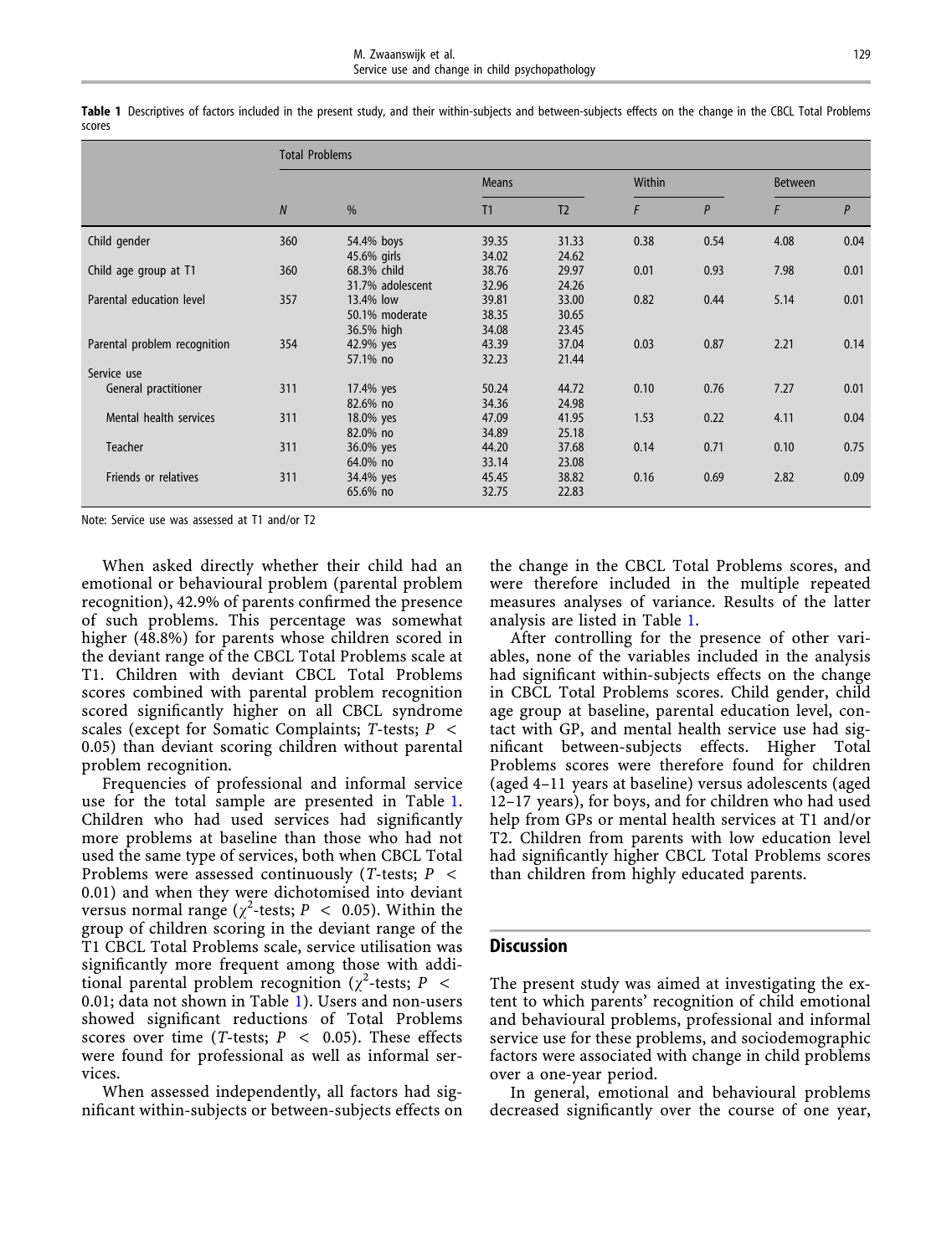|                              | <b>Total Problems</b> |                                           |                         |                         |               |      |                |              |
|------------------------------|-----------------------|-------------------------------------------|-------------------------|-------------------------|---------------|------|----------------|--------------|
|                              |                       |                                           | <b>Means</b>            |                         | <b>Within</b> |      | <b>Between</b> |              |
|                              | $\overline{N}$        | %                                         | T1                      | T <sub>2</sub>          | F             | P    | F              | $\mathsf{P}$ |
| Child gender                 | 360                   | 54.4% boys<br>45.6% girls                 | 39.35<br>34.02          | 31.33<br>24.62          | 0.38          | 0.54 | 4.08           | 0.04         |
| Child age group at T1        | 360                   | 68.3% child<br>31.7% adolescent           | 38.76<br>32.96          | 29.97<br>24.26          | 0.01          | 0.93 | 7.98           | 0.01         |
| Parental education level     | 357                   | 13.4% low<br>50.1% moderate<br>36.5% high | 39.81<br>38.35<br>34.08 | 33.00<br>30.65<br>23.45 | 0.82          | 0.44 | 5.14           | 0.01         |
| Parental problem recognition | 354                   | 42.9% yes<br>57.1% no                     | 43.39<br>32.23          | 37.04<br>21.44          | 0.03          | 0.87 | 2.21           | 0.14         |
| Service use                  |                       |                                           |                         |                         |               |      |                |              |
| General practitioner         | 311                   | 17.4% yes<br>82.6% no                     | 50.24<br>34.36          | 44.72<br>24.98          | 0.10          | 0.76 | 7.27           | 0.01         |
| Mental health services       | 311                   | 18.0% yes<br>82.0% no                     | 47.09<br>34.89          | 41.95<br>25.18          | 1.53          | 0.22 | 4.11           | 0.04         |
| <b>Teacher</b>               | 311                   | 36.0% yes<br>64.0% no                     | 44.20<br>33.14          | 37.68<br>23.08          | 0.14          | 0.71 | 0.10           | 0.75         |
| Friends or relatives         | 311                   | 34.4% yes<br>65.6% no                     | 45.45<br>32.75          | 38.82<br>22.83          | 0.16          | 0.69 | 2.82           | 0.09         |

<span id="page-2-0"></span>Table 1 Descriptives of factors included in the present study, and their within-subjects and between-subjects effects on the change in the CBCL Total Problems scores

Note: Service use was assessed at T1 and/or T2

When asked directly whether their child had an emotional or behavioural problem (parental problem recognition), 42.9% of parents confirmed the presence of such problems. This percentage was somewhat higher (48.8%) for parents whose children scored in the deviant range of the CBCL Total Problems scale at T1. Children with deviant CBCL Total Problems scores combined with parental problem recognition scored significantly higher on all CBCL syndrome scales (except for Somatic Complaints;  $T$ -tests;  $P <$ 0.05) than deviant scoring children without parental problem recognition.

Frequencies of professional and informal service use for the total sample are presented in Table 1. Children who had used services had significantly more problems at baseline than those who had not used the same type of services, both when CBCL Total Problems were assessed continuously (T-tests;  $P \leq$ 0.01) and when they were dichotomised into deviant versus normal range ( $\chi^2$ -tests; P < 0.05). Within the group of children scoring in the deviant range of the T1 CBCL Total Problems scale, service utilisation was significantly more frequent among those with additional parental problem recognition ( $\chi^2$ -tests; P < 0.01; data not shown in Table 1). Users and non-users showed significant reductions of Total Problems scores over time (T-tests;  $P < 0.05$ ). These effects were found for professional as well as informal services.

When assessed independently, all factors had significant within-subjects or between-subjects effects on the change in the CBCL Total Problems scores, and were therefore included in the multiple repeated measures analyses of variance. Results of the latter analysis are listed in Table 1.

After controlling for the presence of other variables, none of the variables included in the analysis had significant within-subjects effects on the change in CBCL Total Problems scores. Child gender, child age group at baseline, parental education level, contact with GP, and mental health service use had significant between-subjects effects. Higher Total Problems scores were therefore found for children (aged 4–11 years at baseline) versus adolescents (aged 12–17 years), for boys, and for children who had used help from GPs or mental health services at T1 and/or T2. Children from parents with low education level had significantly higher CBCL Total Problems scores than children from highly educated parents.

# **Discussion**

The present study was aimed at investigating the extent to which parents' recognition of child emotional and behavioural problems, professional and informal service use for these problems, and sociodemographic factors were associated with change in child problems over a one-year period.

In general, emotional and behavioural problems decreased significantly over the course of one year,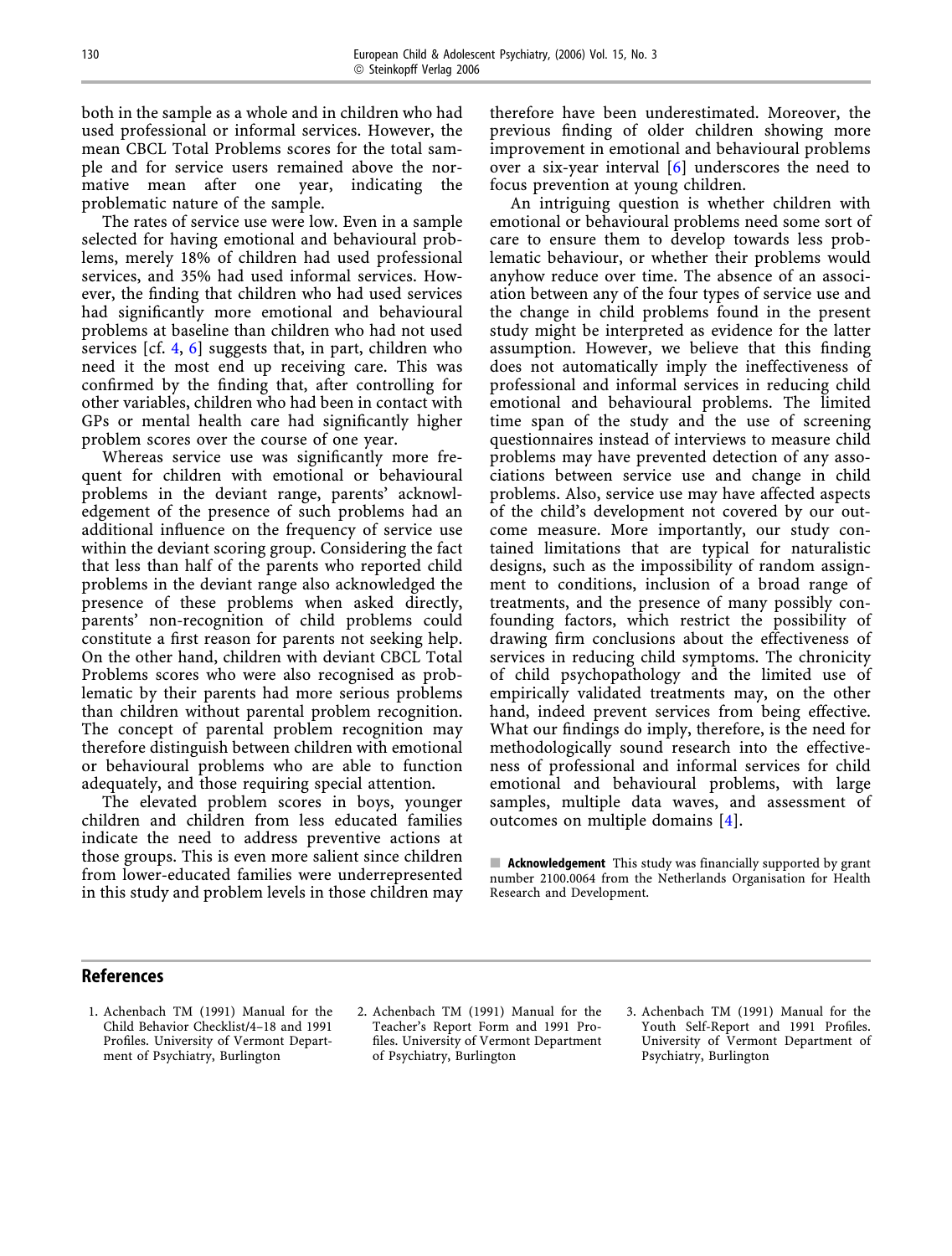<span id="page-3-0"></span>both in the sample as a whole and in children who had used professional or informal services. However, the mean CBCL Total Problems scores for the total sample and for service users remained above the normative mean after one year, indicating the problematic nature of the sample.

The rates of service use were low. Even in a sample selected for having emotional and behavioural problems, merely 18% of children had used professional services, and 35% had used informal services. However, the finding that children who had used services had significantly more emotional and behavioural problems at baseline than children who had not used services [cf. [4](#page-4-0), [6](#page-4-0)] suggests that, in part, children who need it the most end up receiving care. This was confirmed by the finding that, after controlling for other variables, children who had been in contact with GPs or mental health care had significantly higher problem scores over the course of one year.

Whereas service use was significantly more frequent for children with emotional or behavioural problems in the deviant range, parents' acknowledgement of the presence of such problems had an additional influence on the frequency of service use within the deviant scoring group. Considering the fact that less than half of the parents who reported child problems in the deviant range also acknowledged the presence of these problems when asked directly, parents' non-recognition of child problems could constitute a first reason for parents not seeking help. On the other hand, children with deviant CBCL Total Problems scores who were also recognised as problematic by their parents had more serious problems than children without parental problem recognition. The concept of parental problem recognition may therefore distinguish between children with emotional or behavioural problems who are able to function adequately, and those requiring special attention.

The elevated problem scores in boys, younger children and children from less educated families indicate the need to address preventive actions at those groups. This is even more salient since children from lower-educated families were underrepresented in this study and problem levels in those children may therefore have been underestimated. Moreover, the previous finding of older children showing more improvement in emotional and behavioural problems over a six-year interval [[6\]](#page-4-0) underscores the need to focus prevention at young children.

An intriguing question is whether children with emotional or behavioural problems need some sort of care to ensure them to develop towards less problematic behaviour, or whether their problems would anyhow reduce over time. The absence of an association between any of the four types of service use and the change in child problems found in the present study might be interpreted as evidence for the latter assumption. However, we believe that this finding does not automatically imply the ineffectiveness of professional and informal services in reducing child emotional and behavioural problems. The limited time span of the study and the use of screening questionnaires instead of interviews to measure child problems may have prevented detection of any associations between service use and change in child problems. Also, service use may have affected aspects of the child's development not covered by our outcome measure. More importantly, our study contained limitations that are typical for naturalistic designs, such as the impossibility of random assignment to conditions, inclusion of a broad range of treatments, and the presence of many possibly confounding factors, which restrict the possibility of drawing firm conclusions about the effectiveness of services in reducing child symptoms. The chronicity of child psychopathology and the limited use of empirically validated treatments may, on the other hand, indeed prevent services from being effective. What our findings do imply, therefore, is the need for methodologically sound research into the effectiveness of professional and informal services for child emotional and behavioural problems, with large samples, multiple data waves, and assessment of outcomes on multiple domains [[4](#page-4-0)].

 $\blacksquare$  Acknowledgement This study was financially supported by grant number 2100.0064 from the Netherlands Organisation for Health Research and Development.

## References

- 1. Achenbach TM (1991) Manual for the Child Behavior Checklist/4–18 and 1991 Profiles. University of Vermont Department of Psychiatry, Burlington
- 2. Achenbach TM (1991) Manual for the Teacher's Report Form and 1991 Profiles. University of Vermont Department of Psychiatry, Burlington
- 3. Achenbach TM (1991) Manual for the Youth Self-Report and 1991 Profiles. University of Vermont Department of Psychiatry, Burlington